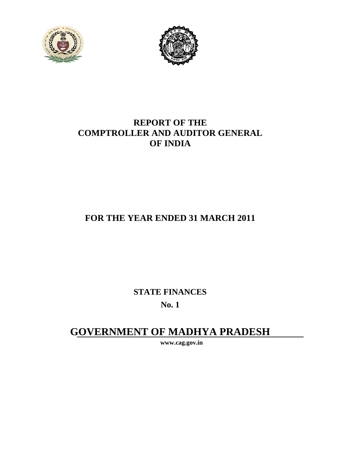



### **REPORT OF THE COMPTROLLER AND AUDITOR GENERAL OF INDIA**

## **FOR THE YEAR ENDED 31 MARCH 2011**

**STATE FINANCES** 

**No. 1** 

# **GOVERNMENT OF MADHYA PRADESH**

**www.cag.gov.in**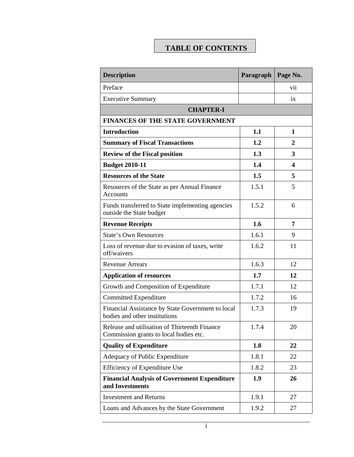## **TABLE OF CONTENTS**

| <b>Description</b>                                                                      | Paragraph | Page No. |
|-----------------------------------------------------------------------------------------|-----------|----------|
| Preface                                                                                 |           | vii      |
| <b>Executive Summary</b>                                                                |           | ix       |
| <b>CHAPTER-I</b>                                                                        |           |          |
| <b>FINANCES OF THE STATE GOVERNMENT</b>                                                 |           |          |
| <b>Introduction</b>                                                                     | 1.1       | 1        |
| <b>Summary of Fiscal Transactions</b>                                                   | 1.2       | 2        |
| <b>Review of the Fiscal position</b>                                                    | 1.3       | 3        |
| <b>Budget 2010-11</b>                                                                   | 1.4       | 4        |
| <b>Resources of the State</b>                                                           | 1.5       | 5        |
| Resources of the State as per Annual Finance<br><b>Accounts</b>                         | 1.5.1     | 5        |
| Funds transferred to State implementing agencies<br>outside the State budget            | 1.5.2     | 6        |
| <b>Revenue Receipts</b>                                                                 | 1.6       | 7        |
| <b>State's Own Resources</b>                                                            | 1.6.1     | 9        |
| Loss of revenue due to evasion of taxes, write<br>off/waivers                           | 1.6.2     | 11       |
| <b>Revenue Arrears</b>                                                                  | 1.6.3     | 12       |
| <b>Application of resources</b>                                                         | 1.7       | 12       |
| Growth and Composition of Expenditure                                                   | 1.7.1     | 12       |
| <b>Committed Expenditure</b>                                                            | 1.7.2     | 16       |
| Financial Assistance by State Government to local<br>bodies and other institutions      | 1.7.3     | 19       |
| Release and utilisation of Thirteenth Finance<br>Commission grants to local bodies etc. | 1.7.4     | 20       |
| <b>Quality of Expenditure</b>                                                           | 1.8       | 22       |
| Adequacy of Public Expenditure                                                          | 1.8.1     | 22       |
| Efficiency of Expenditure Use                                                           | 1.8.2     | 23       |
| <b>Financial Analysis of Government Expenditure</b><br>and Investments                  | 1.9       | 26       |
| <b>Investment and Returns</b>                                                           | 1.9.1     | 27       |
| Loans and Advances by the State Government                                              | 1.9.2     | 27       |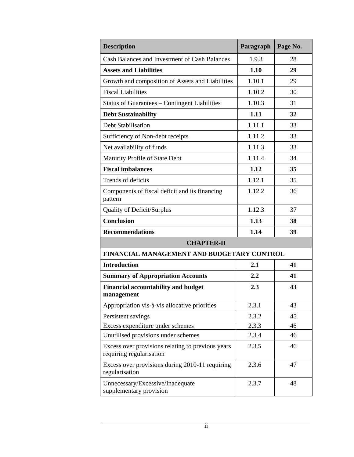| <b>Description</b>                                                            | Paragraph | Page No. |
|-------------------------------------------------------------------------------|-----------|----------|
| Cash Balances and Investment of Cash Balances                                 | 1.9.3     | 28       |
| <b>Assets and Liabilities</b>                                                 | 1.10      | 29       |
| Growth and composition of Assets and Liabilities                              | 1.10.1    | 29       |
| <b>Fiscal Liabilities</b>                                                     | 1.10.2    | 30       |
| <b>Status of Guarantees - Contingent Liabilities</b>                          | 1.10.3    | 31       |
| <b>Debt Sustainability</b>                                                    | 1.11      | 32       |
| <b>Debt Stabilisation</b>                                                     | 1.11.1    | 33       |
| Sufficiency of Non-debt receipts                                              | 1.11.2    | 33       |
| Net availability of funds                                                     | 1.11.3    | 33       |
| Maturity Profile of State Debt                                                | 1.11.4    | 34       |
| <b>Fiscal imbalances</b>                                                      | 1.12      | 35       |
| Trends of deficits                                                            | 1.12.1    | 35       |
| Components of fiscal deficit and its financing<br>pattern                     | 1.12.2    | 36       |
| <b>Quality of Deficit/Surplus</b>                                             | 1.12.3    | 37       |
| <b>Conclusion</b>                                                             | 1.13      | 38       |
| <b>Recommendations</b>                                                        | 1.14      | 39       |
| <b>CHAPTER-II</b>                                                             |           |          |
| FINANCIAL MANAGEMENT AND BUDGETARY CONTROL                                    |           |          |
| <b>Introduction</b>                                                           | 2.1       | 41       |
| <b>Summary of Appropriation Accounts</b>                                      | 2.2       | 41       |
| <b>Financial accountability and budget</b><br>management                      | 2.3       | 43       |
| Appropriation vis-à-vis allocative priorities                                 | 2.3.1     | 43       |
| Persistent savings                                                            | 2.3.2     | 45       |
| Excess expenditure under schemes                                              | 2.3.3     | 46       |
| Unutilised provisions under schemes                                           | 2.3.4     | 46       |
| Excess over provisions relating to previous years<br>requiring regularisation | 2.3.5     | 46       |
| Excess over provisions during 2010-11 requiring<br>regularisation             | 2.3.6     | 47       |
| Unnecessary/Excessive/Inadequate<br>supplementary provision                   | 2.3.7     | 48       |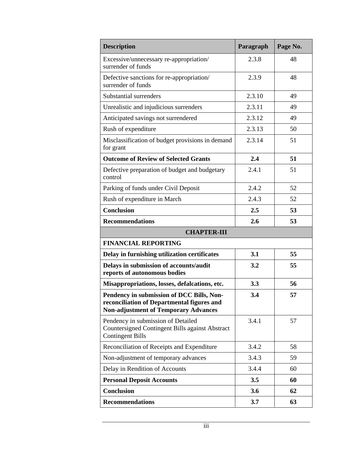| <b>Description</b>                                                                                                                     | Paragraph | Page No. |
|----------------------------------------------------------------------------------------------------------------------------------------|-----------|----------|
| Excessive/unnecessary re-appropriation/<br>surrender of funds                                                                          | 2.3.8     | 48       |
| Defective sanctions for re-appropriation/<br>surrender of funds                                                                        | 2.3.9     | 48       |
| Substantial surrenders                                                                                                                 | 2.3.10    | 49       |
| Unrealistic and injudicious surrenders                                                                                                 | 2.3.11    | 49       |
| Anticipated savings not surrendered                                                                                                    | 2.3.12    | 49       |
| Rush of expenditure                                                                                                                    | 2.3.13    | 50       |
| Misclassification of budget provisions in demand<br>for grant                                                                          | 2.3.14    | 51       |
| <b>Outcome of Review of Selected Grants</b>                                                                                            | 2.4       | 51       |
| Defective preparation of budget and budgetary<br>control                                                                               | 2.4.1     | 51       |
| Parking of funds under Civil Deposit                                                                                                   | 2.4.2     | 52       |
| Rush of expenditure in March                                                                                                           | 2.4.3     | 52       |
| <b>Conclusion</b>                                                                                                                      | 2.5       | 53       |
| <b>Recommendations</b>                                                                                                                 | 2.6       | 53       |
| <b>CHAPTER-III</b>                                                                                                                     |           |          |
| <b>FINANCIAL REPORTING</b>                                                                                                             |           |          |
| Delay in furnishing utilization certificates                                                                                           | 3.1       | 55       |
| Delays in submission of accounts/audit<br>reports of autonomous bodies                                                                 | 3.2       | 55       |
| Misappropriations, losses, defalcations, etc.                                                                                          | 3.3       | 56       |
| Pendency in submission of DCC Bills, Non-<br>reconciliation of Departmental figures and<br><b>Non-adjustment of Temporary Advances</b> | 3.4       | 57       |
| Pendency in submission of Detailed<br><b>Countersigned Contingent Bills against Abstract</b><br><b>Contingent Bills</b>                | 3.4.1     | 57       |
| Reconciliation of Receipts and Expenditure                                                                                             | 3.4.2     | 58       |
| Non-adjustment of temporary advances                                                                                                   | 3.4.3     | 59       |
| Delay in Rendition of Accounts                                                                                                         | 3.4.4     | 60       |
| <b>Personal Deposit Accounts</b>                                                                                                       | 3.5       | 60       |
| <b>Conclusion</b>                                                                                                                      | 3.6       | 62       |
| <b>Recommendations</b>                                                                                                                 | 3.7       | 63       |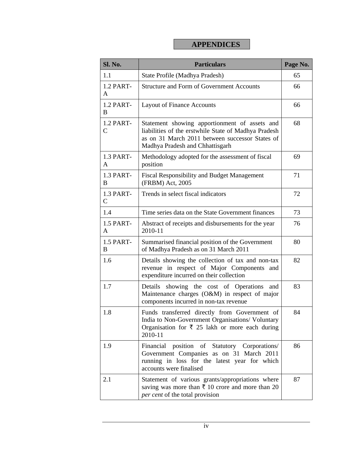#### **APPENDICES**

| Sl. No.                   | <b>Particulars</b>                                                                                                                                                                          | Page No. |
|---------------------------|---------------------------------------------------------------------------------------------------------------------------------------------------------------------------------------------|----------|
| 1.1                       | State Profile (Madhya Pradesh)                                                                                                                                                              | 65       |
| 1.2 PART-<br>A            | <b>Structure and Form of Government Accounts</b>                                                                                                                                            | 66       |
| 1.2 PART-<br>B            | <b>Layout of Finance Accounts</b>                                                                                                                                                           | 66       |
| 1.2 PART-<br>$\mathsf{C}$ | Statement showing apportionment of assets and<br>liabilities of the erstwhile State of Madhya Pradesh<br>as on 31 March 2011 between successor States of<br>Madhya Pradesh and Chhattisgarh | 68       |
| 1.3 PART-<br>A            | Methodology adopted for the assessment of fiscal<br>position                                                                                                                                | 69       |
| 1.3 PART-<br>B            | <b>Fiscal Responsibility and Budget Management</b><br>(FRBM) Act, 2005                                                                                                                      | 71       |
| 1.3 PART-<br>$\mathsf{C}$ | Trends in select fiscal indicators                                                                                                                                                          | 72       |
| 1.4                       | Time series data on the State Government finances                                                                                                                                           | 73       |
| 1.5 PART-<br>A            | Abstract of receipts and disbursements for the year<br>2010-11                                                                                                                              | 76       |
| 1.5 PART-<br>B            | Summarised financial position of the Government<br>of Madhya Pradesh as on 31 March 2011                                                                                                    | 80       |
| 1.6                       | Details showing the collection of tax and non-tax<br>revenue in respect of Major Components and<br>expenditure incurred on their collection                                                 | 82       |
| 1.7                       | showing the cost of Operations<br>Details<br>and<br>Maintenance charges (O&M) in respect of major<br>components incurred in non-tax revenue                                                 | 83       |
| 1.8                       | Funds transferred directly from Government of<br>India to Non-Government Organisations/ Voluntary<br>Organisation for $\overline{\xi}$ 25 lakh or more each during<br>2010-11               | 84       |
| 1.9                       | Financial position of Statutory Corporations/<br>Government Companies as on 31 March 2011<br>running in loss for the latest year for which<br>accounts were finalised                       | 86       |
| 2.1                       | Statement of various grants/appropriations where<br>saving was more than $\bar{\tau}$ 10 crore and more than 20<br>per cent of the total provision                                          | 87       |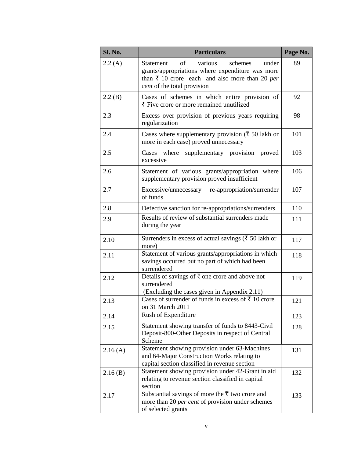| Sl. No. | <b>Particulars</b>                                                                                                                                                                          | Page No. |
|---------|---------------------------------------------------------------------------------------------------------------------------------------------------------------------------------------------|----------|
| 2.2(A)  | of<br>various<br>schemes<br>Statement<br>under<br>grants/appropriations where expenditure was more<br>than $\bar{x}$ 10 crore each and also more than 20 per<br>cent of the total provision | 89       |
| 2.2(B)  | Cases of schemes in which entire provision of<br>₹ Five crore or more remained unutilized                                                                                                   | 92       |
| 2.3     | Excess over provision of previous years requiring<br>regularization                                                                                                                         | 98       |
| 2.4     | Cases where supplementary provision ( $\bar{\tau}$ 50 lakh or<br>more in each case) proved unnecessary                                                                                      | 101      |
| 2.5     | Cases where<br>supplementary provision<br>proved<br>excessive                                                                                                                               | 103      |
| 2.6     | Statement of various grants/appropriation where<br>supplementary provision proved insufficient                                                                                              | 106      |
| 2.7     | Excessive/unnecessary re-appropriation/surrender<br>of funds                                                                                                                                | 107      |
| 2.8     | Defective sanction for re-appropriations/surrenders                                                                                                                                         | 110      |
| 2.9     | Results of review of substantial surrenders made<br>during the year                                                                                                                         | 111      |
| 2.10    | Surrenders in excess of actual savings ( $\bar{\tau}$ 50 lakh or<br>more)                                                                                                                   | 117      |
| 2.11    | Statement of various grants/appropriations in which<br>savings occurred but no part of which had been<br>surrendered                                                                        | 118      |
| 2.12    | Details of savings of $\overline{\xi}$ one crore and above not<br>surrendered<br>(Excluding the cases given in Appendix 2.11)                                                               | 119      |
| 2.13    | Cases of surrender of funds in excess of ₹ 10 crore<br>on 31 March 2011                                                                                                                     | 121      |
| 2.14    | Rush of Expenditure                                                                                                                                                                         | 123      |
| 2.15    | Statement showing transfer of funds to 8443-Civil<br>Deposit-800-Other Deposits in respect of Central<br>Scheme                                                                             | 128      |
| 2.16(A) | Statement showing provision under 63-Machines<br>and 64-Major Construction Works relating to<br>capital section classified in revenue section                                               | 131      |
| 2.16(B) | Statement showing provision under 42-Grant in aid<br>relating to revenue section classified in capital<br>section                                                                           | 132      |
| 2.17    | Substantial savings of more the ₹ two crore and<br>more than 20 per cent of provision under schemes<br>of selected grants                                                                   | 133      |